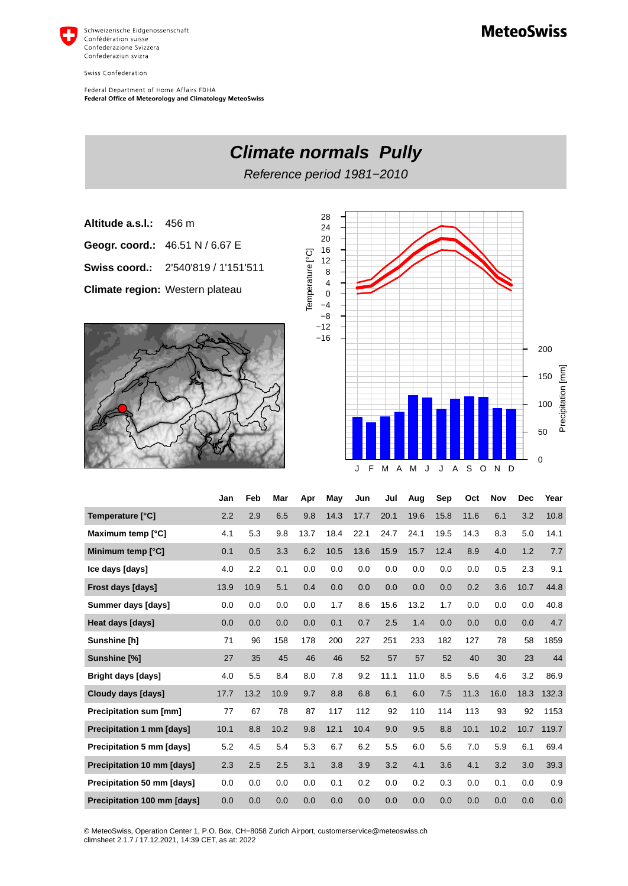

Swiss Confederation

Federal Department of Home Affairs FDHA Federal Office of Meteorology and Climatology MeteoSwiss







|                                    | Jan  | Feb  | Mar  | Apr  | Mav  | Jun  | Jul  | Aug  | Sep  | Oct  | <b>Nov</b> | <b>Dec</b> | Year  |
|------------------------------------|------|------|------|------|------|------|------|------|------|------|------------|------------|-------|
| Temperature [°C]                   | 2.2  | 2.9  | 6.5  | 9.8  | 14.3 | 17.7 | 20.1 | 19.6 | 15.8 | 11.6 | 6.1        | 3.2        | 10.8  |
| Maximum temp [°C]                  | 4.1  | 5.3  | 9.8  | 13.7 | 18.4 | 22.1 | 24.7 | 24.1 | 19.5 | 14.3 | 8.3        | 5.0        | 14.1  |
| Minimum temp [°C]                  | 0.1  | 0.5  | 3.3  | 6.2  | 10.5 | 13.6 | 15.9 | 15.7 | 12.4 | 8.9  | 4.0        | 1.2        | 7.7   |
| Ice days [days]                    | 4.0  | 2.2  | 0.1  | 0.0  | 0.0  | 0.0  | 0.0  | 0.0  | 0.0  | 0.0  | 0.5        | 2.3        | 9.1   |
| Frost days [days]                  | 13.9 | 10.9 | 5.1  | 0.4  | 0.0  | 0.0  | 0.0  | 0.0  | 0.0  | 0.2  | 3.6        | 10.7       | 44.8  |
| Summer days [days]                 | 0.0  | 0.0  | 0.0  | 0.0  | 1.7  | 8.6  | 15.6 | 13.2 | 1.7  | 0.0  | 0.0        | 0.0        | 40.8  |
| Heat days [days]                   | 0.0  | 0.0  | 0.0  | 0.0  | 0.1  | 0.7  | 2.5  | 1.4  | 0.0  | 0.0  | 0.0        | 0.0        | 4.7   |
| Sunshine [h]                       | 71   | 96   | 158  | 178  | 200  | 227  | 251  | 233  | 182  | 127  | 78         | 58         | 1859  |
| Sunshine [%]                       | 27   | 35   | 45   | 46   | 46   | 52   | 57   | 57   | 52   | 40   | 30         | 23         | 44    |
| <b>Bright days [days]</b>          | 4.0  | 5.5  | 8.4  | 8.0  | 7.8  | 9.2  | 11.1 | 11.0 | 8.5  | 5.6  | 4.6        | 3.2        | 86.9  |
| Cloudy days [days]                 | 17.7 | 13.2 | 10.9 | 9.7  | 8.8  | 6.8  | 6.1  | 6.0  | 7.5  | 11.3 | 16.0       | 18.3       | 132.3 |
| Precipitation sum [mm]             | 77   | 67   | 78   | 87   | 117  | 112  | 92   | 110  | 114  | 113  | 93         | 92         | 1153  |
| <b>Precipitation 1 mm [days]</b>   | 10.1 | 8.8  | 10.2 | 9.8  | 12.1 | 10.4 | 9.0  | 9.5  | 8.8  | 10.1 | 10.2       | 10.7       | 119.7 |
| <b>Precipitation 5 mm [days]</b>   | 5.2  | 4.5  | 5.4  | 5.3  | 6.7  | 6.2  | 5.5  | 6.0  | 5.6  | 7.0  | 5.9        | 6.1        | 69.4  |
| Precipitation 10 mm [days]         | 2.3  | 2.5  | 2.5  | 3.1  | 3.8  | 3.9  | 3.2  | 4.1  | 3.6  | 4.1  | 3.2        | 3.0        | 39.3  |
| Precipitation 50 mm [days]         | 0.0  | 0.0  | 0.0  | 0.0  | 0.1  | 0.2  | 0.0  | 0.2  | 0.3  | 0.0  | 0.1        | 0.0        | 0.9   |
| <b>Precipitation 100 mm [days]</b> | 0.0  | 0.0  | 0.0  | 0.0  | 0.0  | 0.0  | 0.0  | 0.0  | 0.0  | 0.0  | 0.0        | 0.0        | 0.0   |

© MeteoSwiss, Operation Center 1, P.O. Box, CH-8058 Zurich Airport, customerservice@meteoswiss.ch<br>climsheet 2.1.7 / 17.12.2021, 14:39 CET, as at: 2022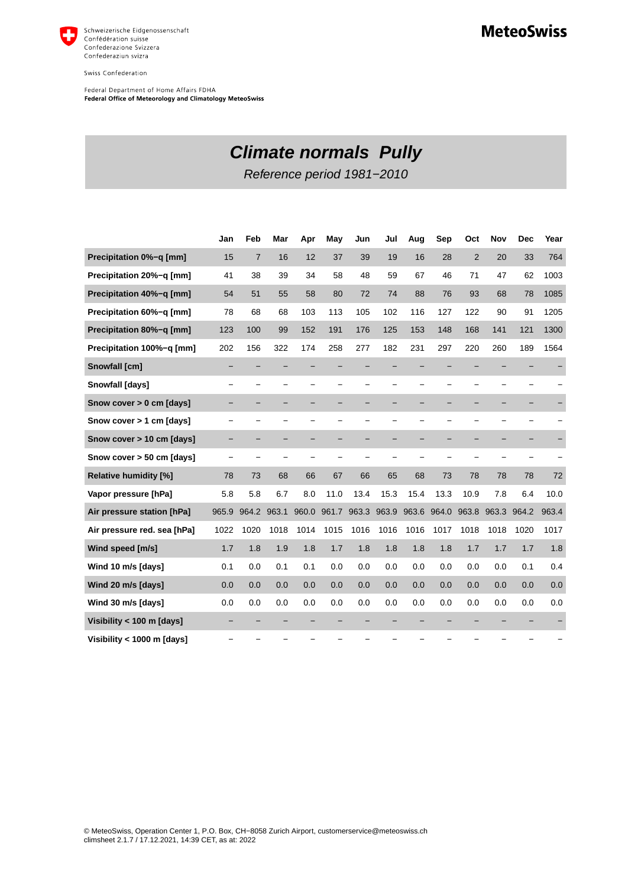

Swiss Confederation

Federal Department of Home Affairs FDHA<br>Federal Office of Meteorology and Climatology MeteoSwiss

## **MeteoSwiss**

## **Climate normals Pully**

Reference period 1981−2010

|                              | Jan   | Feb            | Mar   | Apr   | May   | Jun   | Jul                      | Aug   | Sep   | Oct            | Nov   | <b>Dec</b> | Year  |
|------------------------------|-------|----------------|-------|-------|-------|-------|--------------------------|-------|-------|----------------|-------|------------|-------|
| Precipitation 0%-g [mm]      | 15    | $\overline{7}$ | 16    | 12    | 37    | 39    | 19                       | 16    | 28    | $\overline{2}$ | 20    | 33         | 764   |
| Precipitation 20%-q [mm]     | 41    | 38             | 39    | 34    | 58    | 48    | 59                       | 67    | 46    | 71             | 47    | 62         | 1003  |
| Precipitation 40%-q [mm]     | 54    | 51             | 55    | 58    | 80    | 72    | 74                       | 88    | 76    | 93             | 68    | 78         | 1085  |
| Precipitation 60%-q [mm]     | 78    | 68             | 68    | 103   | 113   | 105   | 102                      | 116   | 127   | 122            | 90    | 91         | 1205  |
| Precipitation 80%-g [mm]     | 123   | 100            | 99    | 152   | 191   | 176   | 125                      | 153   | 148   | 168            | 141   | 121        | 1300  |
| Precipitation 100%-q [mm]    | 202   | 156            | 322   | 174   | 258   | 277   | 182                      | 231   | 297   | 220            | 260   | 189        | 1564  |
| Snowfall [cm]                |       |                |       |       |       |       |                          |       |       |                |       |            |       |
| <b>Snowfall [days]</b>       |       |                |       |       |       |       | $\overline{\phantom{0}}$ |       |       |                |       |            |       |
| Snow cover > 0 cm [days]     |       |                |       |       |       |       | -                        |       |       |                |       |            |       |
| Snow cover > 1 cm [days]     |       |                |       |       |       | -     | -                        | -     |       |                |       |            |       |
| Snow cover > 10 cm [days]    |       |                |       |       |       | -     | -                        |       |       |                |       |            |       |
| Snow cover > 50 cm [days]    |       |                |       |       |       |       |                          |       |       |                |       |            |       |
| <b>Relative humidity [%]</b> | 78    | 73             | 68    | 66    | 67    | 66    | 65                       | 68    | 73    | 78             | 78    | 78         | 72    |
| Vapor pressure [hPa]         | 5.8   | 5.8            | 6.7   | 8.0   | 11.0  | 13.4  | 15.3                     | 15.4  | 13.3  | 10.9           | 7.8   | 6.4        | 10.0  |
| Air pressure station [hPa]   | 965.9 | 964.2          | 963.1 | 960.0 | 961.7 | 963.3 | 963.9                    | 963.6 | 964.0 | 963.8          | 963.3 | 964.2      | 963.4 |
| Air pressure red. sea [hPa]  | 1022  | 1020           | 1018  | 1014  | 1015  | 1016  | 1016                     | 1016  | 1017  | 1018           | 1018  | 1020       | 1017  |
| Wind speed [m/s]             | 1.7   | 1.8            | 1.9   | 1.8   | 1.7   | 1.8   | 1.8                      | 1.8   | 1.8   | 1.7            | 1.7   | 1.7        | 1.8   |
| Wind 10 m/s [days]           | 0.1   | 0.0            | 0.1   | 0.1   | 0.0   | 0.0   | 0.0                      | 0.0   | 0.0   | 0.0            | 0.0   | 0.1        | 0.4   |
| Wind 20 m/s [days]           | 0.0   | 0.0            | 0.0   | 0.0   | 0.0   | 0.0   | 0.0                      | 0.0   | 0.0   | 0.0            | 0.0   | 0.0        | 0.0   |
| Wind 30 m/s [days]           | 0.0   | 0.0            | 0.0   | 0.0   | 0.0   | 0.0   | 0.0                      | 0.0   | 0.0   | 0.0            | 0.0   | 0.0        | 0.0   |
| Visibility < 100 m [days]    |       |                |       |       |       |       |                          |       |       |                |       |            |       |
| Visibility < 1000 m [days]   |       |                |       |       |       |       |                          |       |       |                |       |            |       |